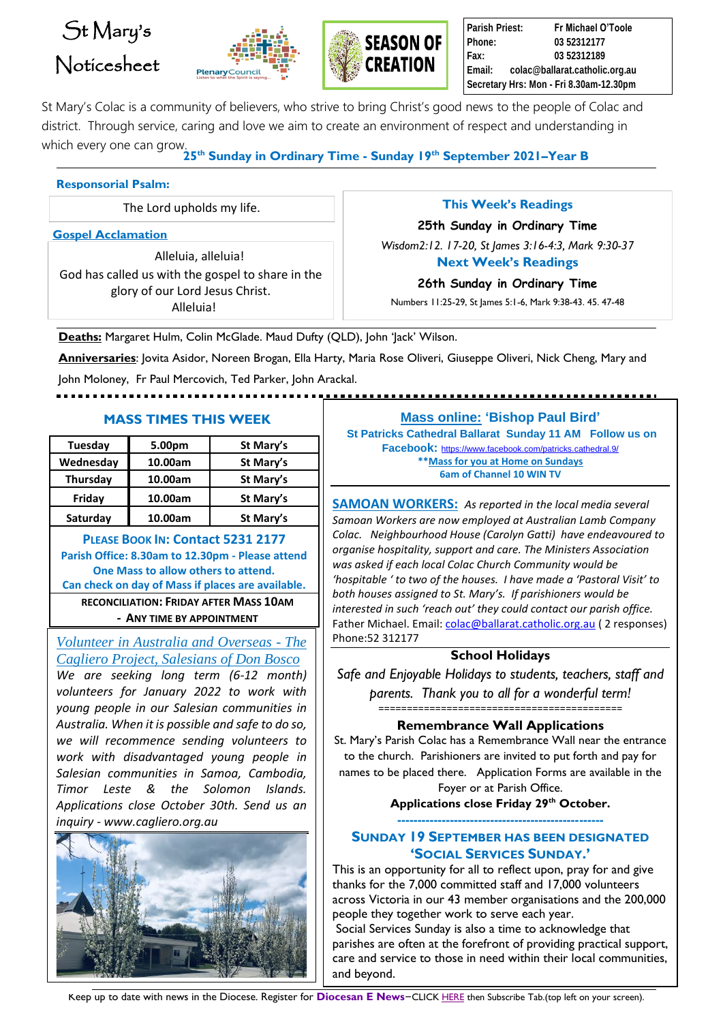# St Mary's Noticesheet





**Parish Priest: Fr Michael O'Toole Phone: 03 52312177 Fax: 03 52312189 Email: colac@ballarat.catholic.org.au Secretary Hrs: Mon - Fri 8.30am-12.30pm**

St Mary's Colac is a community of believers, who strive to bring Christ's good news to the people of Colac and district. Through service, caring and love we aim to create an environment of respect and understanding in which every one can grow.

**25th Sunday in Ordinary Time - Sunday 19 th September 2021–Year B**

#### **Responsorial Psalm:**

The Lord upholds my life.

**Gospel Acclamation**

Alleluia, alleluia! God has called us with the gospel to share in the glory of our Lord Jesus Christ. Alleluia!

### **This Week's Readings**

**25th Sunday in Ordinary Time** *Wisdom2:12. 17-20, St James 3:16-4:3, Mark 9:30-37* **Next Week's Readings** 

#### **26th Sunday in Ordinary Time**

Numbers 11:25-29, St James 5:1-6, Mark 9:38-43. 45. 47-48

**Deaths:** Margaret Hulm, Colin McGlade. Maud Dufty (QLD), John 'Jack' Wilson.

**Anniversaries**: Jovita Asidor, Noreen Brogan, Ella Harty, Maria Rose Oliveri, Giuseppe Oliveri, Nick Cheng, Mary and

John Moloney, Fr Paul Mercovich, Ted Parker, John Arackal.

### **MASS TIMES THIS WEEK Mass online: 'Bishop Paul Bird'**

| Tuesday   | 5.00pm  | St Mary's |
|-----------|---------|-----------|
| Wednesday | 10.00am | St Mary's |
| Thursday  | 10.00am | St Mary's |
| Friday    | 10.00am | St Mary's |
| Saturday  | 10.00am | St Mary's |

**PLEASE BOOK IN: Contact 5231 2177 Parish Office: 8.30am to 12.30pm - Please attend One Mass to allow others to attend. Can check on day of Mass if places are available. RECONCILIATION: FRIDAY AFTER MASS 10AM - ANY TIME BY APPOINTMENT**

*Volunteer in Australia and Overseas - The Cagliero Project, Salesians of Don Bosco We are seeking long term (6-12 month) volunteers for January 2022 to work with young people in our Salesian communities in Australia. When it is possible and safe to do so, we will recommence sending volunteers to work with disadvantaged young people in Salesian communities in Samoa, Cambodia, Timor Leste & the Solomon Islands. Applications close October 30th. Send us an inquiry - [www.cagliero.org.au](http://www.cagliero.org.au/)* 



# 

**St Patricks Cathedral Ballarat Sunday 11 AM Follow us on Facebook:** <https://www.facebook.com/patricks.cathedral.9/> **\*\*Mass for you at Home on Sundays 6am of Channel 10 WIN TV**

**SAMOAN WORKERS:** *As reported in the local media several Samoan Workers are now employed at Australian Lamb Company Colac. Neighbourhood House (Carolyn Gatti) have endeavoured to organise hospitality, support and care. The Ministers Association was asked if each local Colac Church Community would be 'hospitable ' to two of the houses. I have made a 'Pastoral Visit' to both houses assigned to St. Mary's. If parishioners would be interested in such 'reach out' they could contact our parish office.*  Father Michael. Email: [colac@ballarat.catholic.org.au](mailto:colac@ballarat.catholic.org.au) (2 responses) Phone:52 312177

## **School Holidays**

*Safe and Enjoyable Holidays to students, teachers, staff and parents. Thank you to all for a wonderful term!* 

===========================================

**Remembrance Wall Applications**

St. Mary's Parish Colac has a Remembrance Wall near the entrance to the church. Parishioners are invited to put forth and pay for names to be placed there. Application Forms are available in the Foyer or at Parish Office.

> **Applications close Friday 29th October. ---------------------------------------------------**

# **SUNDAY 19 SEPTEMBER HAS BEEN DESIGNATED 'SOCIAL SERVICES SUNDAY.'**

This is an opportunity for all to reflect upon, pray for and give thanks for the 7,000 committed staff and 17,000 volunteers across Victoria in our 43 member organisations and the 200,000 people they together work to serve each year.

Social Services Sunday is also a time to acknowledge that parishes are often at the forefront of providing practical support, care and service to those in need within their local communities, and beyond.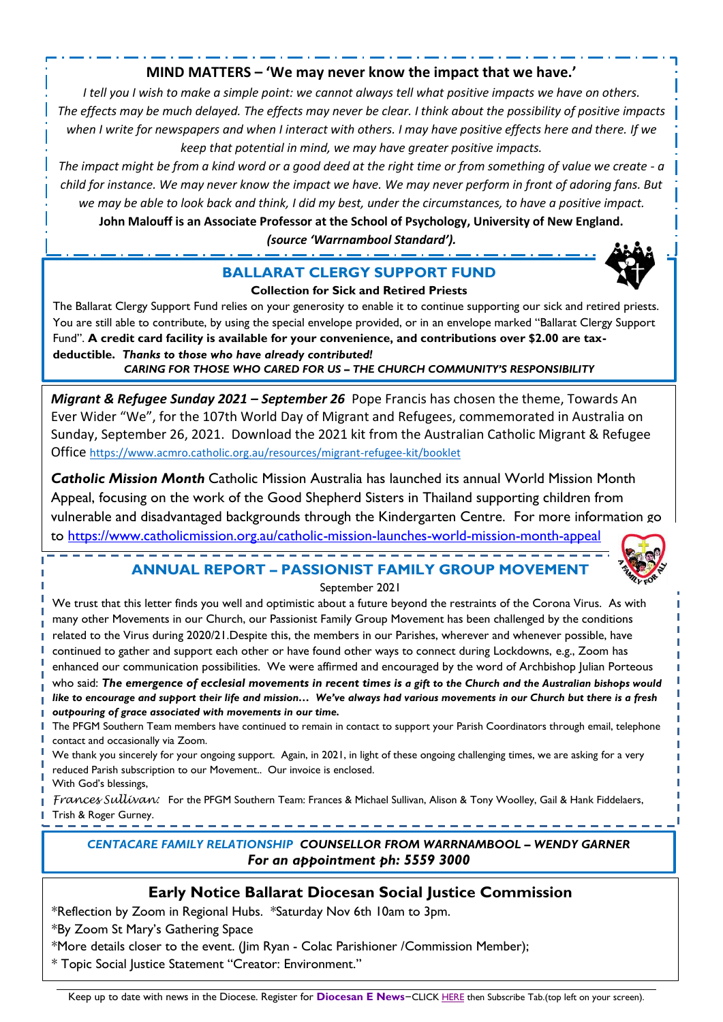## **MIND MATTERS – 'We may never know the impact that we have.'**

*I tell you I wish to make a simple point: we cannot always tell what positive impacts we have on others. The effects may be much delayed. The effects may never be clear. I think about the possibility of positive impacts when I write for newspapers and when I interact with others. I may have positive effects here and there. If we keep that potential in mind, we may have greater positive impacts.*

*The impact might be from a kind word or a good deed at the right time or from something of value we create - a child for instance. We may never know the impact we have. We may never perform in front of adoring fans. But we may be able to look back and think, I did my best, under the circumstances, to have a positive impact.*

**John Malouff is an Associate Professor at the School of Psychology, University of New England.** *(source 'Warrnambool Standard').*

# **BALLARAT CLERGY SUPPORT FUND**



#### **Collection for Sick and Retired Priests**

The Ballarat Clergy Support Fund relies on your generosity to enable it to continue supporting our sick and retired priests. You are still able to contribute, by using the special envelope provided, or in an envelope marked "Ballarat Clergy Support Fund". **A credit card facility is available for your convenience, and contributions over \$2.00 are taxdeductible.** *Thanks to those who have already contributed!*

*CARING FOR THOSE WHO CARED FOR US – THE CHURCH COMMUNITY'S RESPONSIBILITY*

*Migrant & Refugee Sunday 2021 – September 26* Pope Francis has chosen the theme, Towards An Ever Wider "We", for the 107th World Day of Migrant and Refugees, commemorated in Australia on Sunday, September 26, 2021. Download the 2021 kit from the Australian Catholic Migrant & Refugee Office <https://www.acmro.catholic.org.au/resources/migrant-refugee-kit/booklet>

*Catholic Mission Month* Catholic Mission Australia has launched its annual World Mission Month Appeal, focusing on the work of the Good Shepherd Sisters in Thailand supporting children from vulnerable and disadvantaged backgrounds through the Kindergarten Centre. For more information go to<https://www.catholicmission.org.au/catholic-mission-launches-world-mission-month-appeal>

# **ANNUAL REPORT – PASSIONIST FAMILY GROUP MOVEMENT**



We trust that this letter finds you well and optimistic about a future beyond the restraints of the Corona Virus. As with many other Movements in our Church, our Passionist Family Group Movement has been challenged by the conditions related to the Virus during 2020/21.Despite this, the members in our Parishes, wherever and whenever possible, have continued to gather and support each other or have found other ways to connect during Lockdowns, e.g., Zoom has enhanced our communication possibilities. We were affirmed and encouraged by the word of Archbishop Julian Porteous who said: *The emergence of ecclesial movements in recent times is a gift to the Church and the Australian bishops would like to encourage and support their life and mission… We've always had various movements in our Church but there is a fresh outpouring of grace associated with movements in our time.*

The PFGM Southern Team members have continued to remain in contact to support your Parish Coordinators through email, telephone contact and occasionally via Zoom.

We thank you sincerely for your ongoing support. Again, in 2021, in light of these ongoing challenging times, we are asking for a very reduced Parish subscription to our Movement.. Our invoice is enclosed.

With God's blessings,

*Frances Sullivan:* For the PFGM Southern Team: Frances & Michael Sullivan, Alison & Tony Woolley, Gail & Hank Fiddelaers, Trish & Roger Gurney.

*CENTACARE FAMILY RELATIONSHIP COUNSELLOR FROM WARRNAMBOOL – WENDY GARNER For an appointment ph: 5559 3000*

# **Early Notice Ballarat Diocesan Social Justice Commission**

\*Reflection by Zoom in Regional Hubs. \*Saturday Nov 6th 10am to 3pm.

\*By Zoom St Mary's Gathering Space

\*More details closer to the event. (Jim Ryan - Colac Parishioner /Commission Member);

\* Topic Social Justice Statement "Creator: Environment."

Keep up to date with news in the Diocese. Register for **Diocesan E News**–CLIC[K HERE](https://mailchi.mp/12d25ebf2b43/edition-93-october-8-5158120) then Subscribe Tab.(top left on your screen).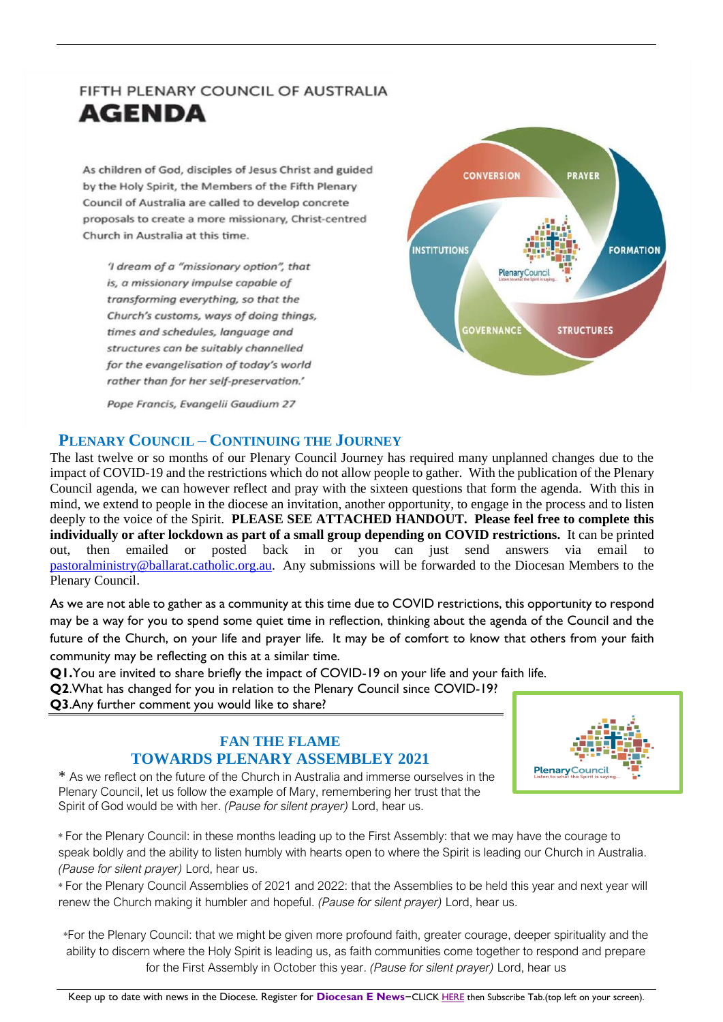# FIFTH PLENARY COUNCIL OF AUSTRALIA **AGENDA**

As children of God, disciples of Jesus Christ and guided by the Holy Spirit, the Members of the Fifth Plenary Council of Australia are called to develop concrete proposals to create a more missionary, Christ-centred Church in Australia at this time.

'I dream of a "missionary option", that is, a missionary impulse capable of transforming everything, so that the Church's customs, ways of doing things, times and schedules, language and structures can be suitably channelled for the evangelisation of today's world rather than for her self-preservation.'



Pope Francis, Evangelii Gaudium 27

# **PLENARY COUNCIL – CONTINUING THE JOURNEY**

The last twelve or so months of our Plenary Council Journey has required many unplanned changes due to the impact of COVID-19 and the restrictions which do not allow people to gather. With the publication of the Plenary Council agenda, we can however reflect and pray with the sixteen questions that form the agenda. With this in mind, we extend to people in the diocese an invitation, another opportunity, to engage in the process and to listen deeply to the voice of the Spirit. **PLEASE SEE ATTACHED HANDOUT. Please feel free to complete this individually or after lockdown as part of a small group depending on COVID restrictions.** It can be printed out, then emailed or posted back in or you can just send answers via email to [pastoralministry@ballarat.catholic.org.au.](mailto:pastoralministry@ballarat.catholic.org.au) Any submissions will be forwarded to the Diocesan Members to the Plenary Council.

As we are not able to gather as a community at this time due to COVID restrictions, this opportunity to respond may be a way for you to spend some quiet time in reflection, thinking about the agenda of the Council and the future of the Church, on your life and prayer life. It may be of comfort to know that others from your faith community may be reflecting on this at a similar time.

**Q1.**You are invited to share briefly the impact of COVID-19 on your life and your faith life.

**Q2**.What has changed for you in relation to the Plenary Council since COVID-19? **Q3**.Any further comment you would like to share?

# **FAN THE FLAME TOWARDS PLENARY ASSEMBLEY 2021**



\* As we reflect on the future of the Church in Australia and immerse ourselves in the Plenary Council, let us follow the example of Mary, remembering her trust that the Spirit of God would be with her. *(Pause for silent prayer)* Lord, hear us.

\* For the Plenary Council: in these months leading up to the First Assembly: that we may have the courage to speak boldly and the ability to listen humbly with hearts open to where the Spirit is leading our Church in Australia. *(Pause for silent prayer)* Lord, hear us.

\* For the Plenary Council Assemblies of 2021 and 2022: that the Assemblies to be held this year and next year will renew the Church making it humbler and hopeful. *(Pause for silent prayer)* Lord, hear us.

\*For the Plenary Council: that we might be given more profound faith, greater courage, deeper spirituality and the ability to discern where the Holy Spirit is leading us, as faith communities come together to respond and prepare for the First Assembly in October this year. *(Pause for silent prayer)* Lord, hear us